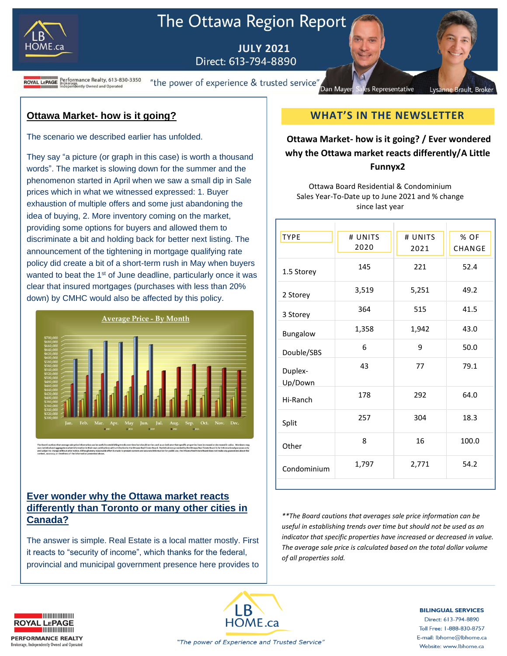

# The Ottawa Region Report

**JULY 2021** Direct: 613-794-8890

**ROYAL LEPAGE** Brokerage.<br>ROYAL LEPAGE Brokerage.<br>Independently Owned and Operated

"the power of experience & trusted service" Dan Mayer

**Ottawa Market- how is it going?**

The scenario we described earlier has unfolded.

They say "a picture (or graph in this case) is worth a thousand words". The market is slowing down for the summer and the phenomenon started in April when we saw a small dip in Sale prices which in what we witnessed expressed: 1. Buyer exhaustion of multiple offers and some just abandoning the idea of buying, 2. More inventory coming on the market, providing some options for buyers and allowed them to discriminate a bit and holding back for better next listing. The announcement of the tightening in mortgage qualifying rate policy did create a bit of a short-term rush in May when buyers wanted to beat the 1<sup>st</sup> of June deadline, particularly once it was clear that insured mortgages (purchases with less than 20% down) by CMHC would also be affected by this policy.



#### **Ever wonder why the Ottawa market reacts differently than Toronto or many other cities in Canada?**

The answer is simple. Real Estate is a local matter mostly. First it reacts to "security of income", which thanks for the federal, provincial and municipal government presence here provides to

## **WHAT'S IN THE NEWSLETTER**

Representative

Lysanne Brault, Broke

### **Ottawa Market- how is it going? / Ever wondered why the Ottawa market reacts differently/A Little Funnyx2**

Ottawa Board Residential & Condominium Sales Year-To-Date up to June 2021 and % change since last year

| <b>TYPE</b>        | # UNITS<br>2020 | # UNITS<br>2021 | % OF<br>CHANGE |
|--------------------|-----------------|-----------------|----------------|
|                    |                 |                 |                |
| 1.5 Storey         | 145             | 221             | 52.4           |
| 2 Storey           | 3,519           | 5,251           | 49.2           |
| 3 Storey           | 364             | 515             | 41.5           |
| Bungalow           | 1,358           | 1,942           | 43.0           |
| Double/SBS         | 6               | 9               | 50.0           |
| Duplex-<br>Up/Down | 43              | 77              | 79.1           |
| Hi-Ranch           | 178             | 292             | 64.0           |
| Split              | 257             | 304             | 18.3           |
| Other              | 8               | 16              | 100.0          |
| Condominium        | 1,797           | 2,771           | 54.2           |
|                    |                 |                 |                |

*\*\*The Board cautions that averages sale price information can be useful in establishing trends over time but should not be used as an indicator that specific properties have increased or decreased in value. The average sale price is calculated based on the total dollar volume of all properties sold.*





**BILINGUAL SERVICES** 

Direct: 613-794-8890 Toll Free: 1-888-830-8757 E-mail: lbhome@lbhome.ca Website: www.lbhome.ca